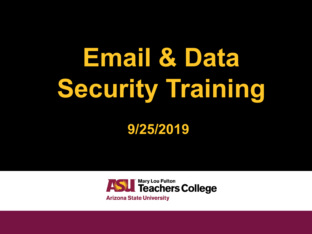# **Email & Data Security Training**

**9/25/2019**

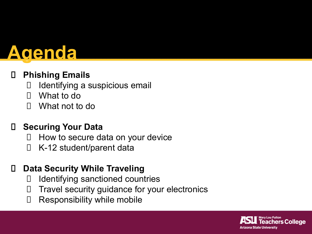### **Agenda**

### **Phishing Emails**

- □ Identifying a suspicious email
- What to do
- What not to do

### **Securing Your Data**

- $\Box$  How to secure data on your device
- □ K-12 student/parent data

### **Data Security While Traveling**

- Identifying sanctioned countries
- $\Box$  Travel security guidance for your electronics
- □ Responsibility while mobile

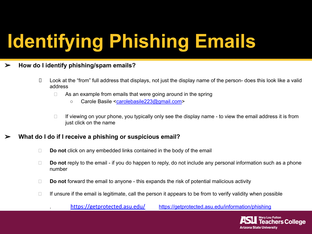## **Identifying Phishing Emails**

#### ➢ **How do I identify phishing/spam emails?**

- Look at the "from" full address that displays, not just the display name of the person- does this look like a valid address
	- $\Box$  As an example from emails that were going around in the spring
		- Carole Basile [<carolebasile223@gmail.com](mailto:carolebasile223@gmail.com)>
	- $\Box$  If viewing on your phone, you typically only see the display name to view the email address it is from just click on the name

#### ➢ **What do I do if I receive a phishing or suspicious email?**

- **Do not** click on any embedded links contained in the body of the email
- **Do not** reply to the email if you do happen to reply, do not include any personal information such as a phone number
- **Do not** forward the email to anyone this expands the risk of potential malicious activity
- $\Box$  If unsure if the email is legitimate, call the person it appears to be from to verify validity when possible

https://getprotected.asu.edu/ <https://getprotected.asu.edu/information/phishing>

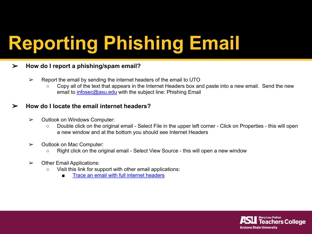## **Reporting Phishing Email**

#### ➢ **How do I report a phishing/spam email?**

- $\triangleright$  Report the email by sending the internet headers of the email to UTO
	- Copy all of the text that appears in the Internet Headers box and paste into a new email. Send the new email to [infosec@asu.edu](mailto:infosec@asu.edu) with the subject line: Phishing Email

#### ➢ **How do I locate the email internet headers?**

- ➢ Outlook on Windows Computer:
	- Double click on the original email Select File in the upper left corner Click on Properties this will open a new window and at the bottom you should see Internet Headers
- ➢ Outlook on Mac Computer:
	- Right click on the original email Select View Source this will open a new window
- $\triangleright$  Other Email Applications:
	- Visit this link for support with other email applications:
		- [Trace an email with full internet headers](https://support.google.com/mail/answer/29436?hl=en&visit_id=637049511260941732-3473429367&rd=1)

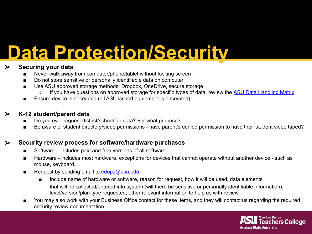## **Data Protection/Security**

### ➢ **Securing your data**

- Never walk away from computer/phone/tablet without locking screen
- Do not store sensitive or personally identifiable data on computer
- Use ASU approved storage methods: Dropbox, OneDrive, secure storage
	- If you have questions on approved storage for specific types of data, review the [ASU Data Handling Matrix](https://docs.google.com/spreadsheets/d/194KttStUQ0BI9fBq-P2CCjn8d-C161c9kjZQNWVo_ZE/edit#gid=0)
- Ensure device is encrypted (all ASU issued equipment is encrypted)

### ➢ **K-12 student/parent data**

- Do you ever request district/school for data? For what purpose?
- Be aware of student directory/video permissions have parent's denied permission to have their student video taped?

### ➢ **Security review process for software/hardware purchases**

- Software includes paid and free versions of all software
- Hardware includes most hardware, exceptions for devices that cannot operate without another device such as mouse, keyboard.
- Request by sending email to  $edops@asu.edu$ 
	- Include name of hardware or software, reason for request, how it will be used, data elements that will be collected/entered into system (will there be sensitive or personally identifiable information), level/version/plan type requested, other relevant information to help us with review
- You may also work with your Business Office contact for these items, and they will contact us regarding the required security review documentation

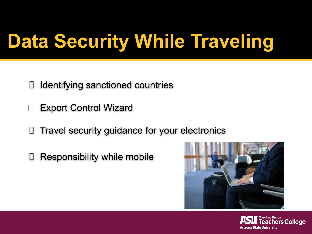## **Data Security While Traveling**

- Identifying sanctioned countries
- Export Control Wizard
- □ Travel security guidance for your electronics
- Responsibility while mobile



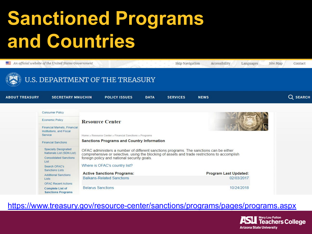## **Sanctioned Programs and Countries**

|                                                                                 | An official website of the United States Government                                                                |                                                                                                                                                                                                                                                                         |             | Skip Navigation | Accessibility                | Site Map<br>Languages | Contact  |  |
|---------------------------------------------------------------------------------|--------------------------------------------------------------------------------------------------------------------|-------------------------------------------------------------------------------------------------------------------------------------------------------------------------------------------------------------------------------------------------------------------------|-------------|-----------------|------------------------------|-----------------------|----------|--|
|                                                                                 |                                                                                                                    | U.S. DEPARTMENT OF THE TREASURY                                                                                                                                                                                                                                         |             |                 |                              |                       |          |  |
| <b>ABOUT TREASURY</b>                                                           | <b>SECRETARY MNUCHIN</b>                                                                                           | <b>POLICY ISSUES</b>                                                                                                                                                                                                                                                    | <b>DATA</b> | <b>SERVICES</b> | <b>NEWS</b>                  |                       | Q SEARCH |  |
|                                                                                 | <b>Consumer Policy</b>                                                                                             |                                                                                                                                                                                                                                                                         |             |                 |                              |                       |          |  |
|                                                                                 | <b>Economic Policy</b>                                                                                             | <b>Resource Center</b>                                                                                                                                                                                                                                                  |             |                 |                              |                       |          |  |
|                                                                                 | <b>Financial Markets, Financial</b><br>Institutions, and Fiscal<br>Service                                         | Home » Resource Center » Financial Sanctions » Programs                                                                                                                                                                                                                 |             |                 |                              |                       |          |  |
| <b>Sanctions Programs and Country Information</b><br><b>Financial Sanctions</b> |                                                                                                                    |                                                                                                                                                                                                                                                                         |             |                 |                              |                       |          |  |
|                                                                                 | <b>Specially Designated</b><br>Nationals List (SDN List)<br><b>Consolidated Sanctions</b><br>List<br>Search OFAC's | OFAC administers a number of different sanctions programs. The sanctions can be either<br>comprehensive or selective, using the blocking of assets and trade restrictions to accomplish<br>foreign policy and national security goals.<br>Where is OFAC's country list? |             |                 |                              |                       |          |  |
|                                                                                 | <b>Sanctions Lists</b><br><b>Additional Sanctions</b>                                                              | <b>Active Sanctions Programs:</b>                                                                                                                                                                                                                                       |             |                 | <b>Program Last Updated:</b> |                       |          |  |
|                                                                                 | <b>Lists</b><br><b>OFAC Recent Actions</b>                                                                         | <b>Balkans-Related Sanctions</b>                                                                                                                                                                                                                                        |             |                 |                              | 02/03/2017            |          |  |
|                                                                                 | <b>Complete List of</b><br><b>Sanctions Programs</b>                                                               | <b>Belarus Sanctions</b>                                                                                                                                                                                                                                                |             |                 |                              | 10/24/2018            |          |  |

### <https://www.treasury.gov/resource-center/sanctions/programs/pages/programs.aspx>

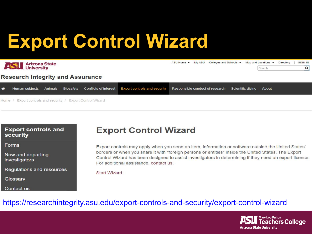## **Export Control Wizard**

| <b>Anizona State</b><br><b>University</b><br><b>Research Integrity and Assurance</b> |                        |  |           |  |                                                    |  | ASU Home ▼ My ASU Colleges and Schools ▼ Map and Locations ▼ |  | Search | Directory | SIGN IN<br>$\alpha$ |  |
|--------------------------------------------------------------------------------------|------------------------|--|-----------|--|----------------------------------------------------|--|--------------------------------------------------------------|--|--------|-----------|---------------------|--|
| ⋘                                                                                    | Human subjects Animals |  | Biosafety |  | Conflicts of interest Export controls and security |  | Responsible conduct of research Scientific diving About      |  |        |           |                     |  |

Export controls and security / Export Control Wizard Home /

#### **Export controls and** security

Forms

New and departing investigators

**Regulations and resources** 

Glossary

**Contact us** 

### **Export Control Wizard**

Export controls may apply when you send an item, information or software outside the United States' borders or when you share it with "foreign persons or entities" inside the United States. The Export Control Wizard has been designed to assist investigators in determining if they need an export license. For additional assistance, contact us.

**Start Wizard** 

### <https://researchintegrity.asu.edu/export-controls-and-security/export-control-wizard>

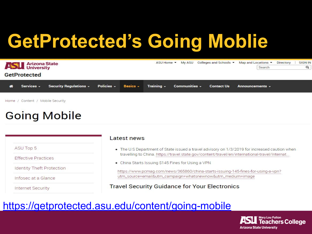## **GetProtected's Going Moblie**

| <b>Anizona State</b><br><b>GetProtected</b> |            |                                                                                                         |  |  | ASU Home ▼ My ASU Colleges and Schools ▼ Map and Locations ▼ Directory | Search               | <b>SIGN IN</b><br>Q |
|---------------------------------------------|------------|---------------------------------------------------------------------------------------------------------|--|--|------------------------------------------------------------------------|----------------------|---------------------|
|                                             | Services - | Security Regulations $\sim$ Policies $\sim$ Basics $\sim$ Training $\sim$ Communities $\sim$ Contact Us |  |  |                                                                        | Announcements $\sim$ |                     |

Home / Content / Mobile Security

### **Going Mobile**

**ASU Top 5** 

**Effective Practices** 

**Identity Theft Protection** 

Infosec at a Glance

**Internet Security** 

#### Latest news

- . The U.S Department of State issued a travel advisory on 1/3/2019 for increased caution when travelling to China. https://travel.state.gov/content/travel/en/international-travel/Internat...
- China Starts Issuing \$145 Fines for Using a VPN

https://www.pcmag.com/news/365860/china-starts-issuing-145-fines-for-using-a-vpn? utm\_source=email&utm\_campaign=whatsnewnow&utm\_medium=image

**Travel Security Guidance for Your Electronics** 

### <https://getprotected.asu.edu/content/going-mobile>

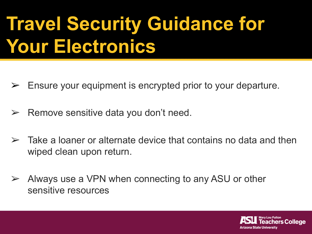## **Travel Security Guidance for Your Electronics**

- $\triangleright$  Ensure your equipment is encrypted prior to your departure.
- $\triangleright$  Remove sensitive data you don't need.
- $\triangleright$  Take a loaner or alternate device that contains no data and then wiped clean upon return.
- $\triangleright$  Always use a VPN when connecting to any ASU or other sensitive resources

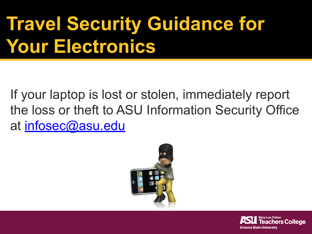## **Travel Security Guidance for Your Electronics**

If your laptop is lost or stolen, immediately report the loss or theft to ASU Information Security Office at [infosec@asu.edu](mailto:infosec@asu.edu)



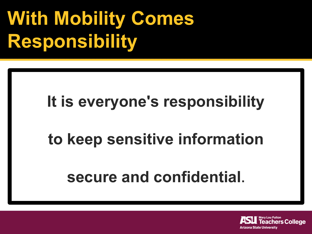## **With Mobility Comes Responsibility**

### **It is everyone's responsibility**

### **to keep sensitive information**

### **secure and confidential.**

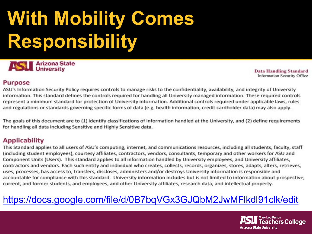## **With Mobility Comes Responsibility**



**Data Handling Standard Information Security Office** 

#### **Purpose**

ASU's Information Security Policy requires controls to manage risks to the confidentiality, availability, and integrity of University information. This standard defines the controls required for handling all University managed information. These required controls represent a minimum standard for protection of University information. Additional controls required under applicable laws, rules and regulations or standards governing specific forms of data (e.g. health information, credit cardholder data) may also apply.

The goals of this document are to (1) identify classifications of information handled at the University, and (2) define requirements for handling all data including Sensitive and Highly Sensitive data.

### **Applicability**

This Standard applies to all users of ASU's computing, internet, and communications resources, including all students, faculty, staff (including student employees), courtesy affiliates, contractors, vendors, consultants, temporary and other workers for ASU and Component Units (Users). This standard applies to all information handled by University employees, and University affiliates, contractors and vendors. Each such entity and individual who creates, collects, records, organizes, stores, adapts, alters, retrieves, uses, processes, has access to, transfers, discloses, administers and/or destroys University information is responsible and accountable for compliance with this standard. University information includes but is not limited to information about prospective, current, and former students, and employees, and other University affiliates, research data, and intellectual property.

### <https://docs.google.com/file/d/0B7bqVGx3GJQbM2JwMFlkdl91clk/edit>

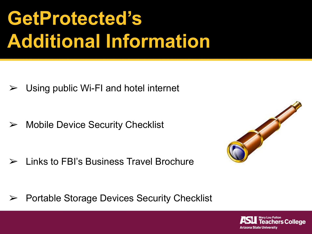## **GetProtected's Additional Information**

 $\triangleright$  Using public Wi-FI and hotel internet

 $\triangleright$  Mobile Device Security Checklist

 $\triangleright$  Links to FBI's Business Travel Brochure



➢ Portable Storage Devices Security Checklist